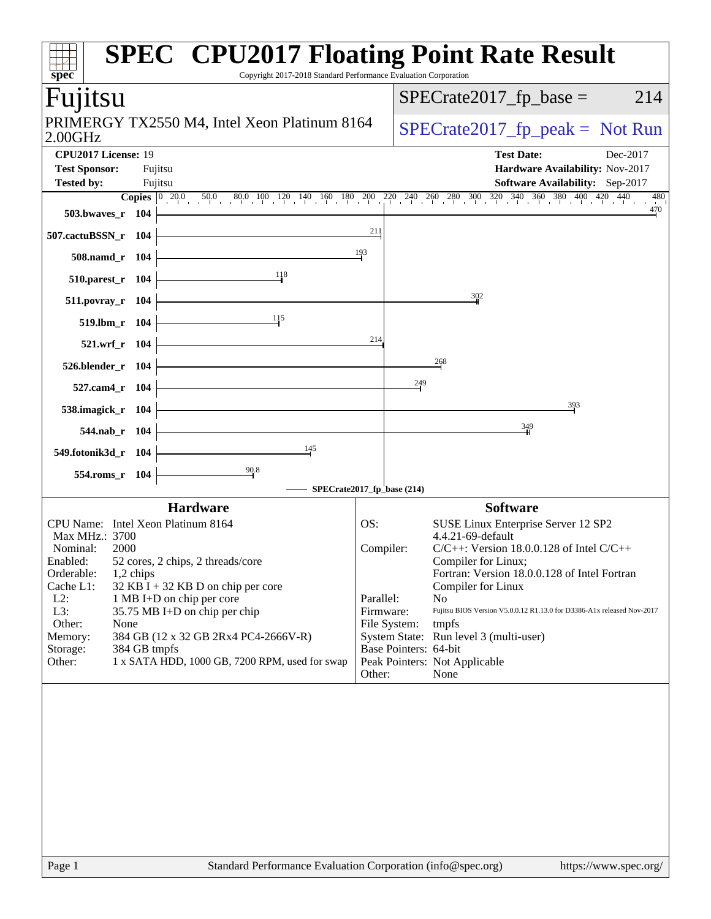| $spec^*$                                                                                                                                                                                                                                      | Copyright 2017-2018 Standard Performance Evaluation Corporation                                                                                                                                                         |                                                      |                                       | <b>SPEC<sup>®</sup> CPU2017 Floating Point Rate Result</b>                                                                                                                                                                                                                                                                                                                                                        |
|-----------------------------------------------------------------------------------------------------------------------------------------------------------------------------------------------------------------------------------------------|-------------------------------------------------------------------------------------------------------------------------------------------------------------------------------------------------------------------------|------------------------------------------------------|---------------------------------------|-------------------------------------------------------------------------------------------------------------------------------------------------------------------------------------------------------------------------------------------------------------------------------------------------------------------------------------------------------------------------------------------------------------------|
| Fujitsu                                                                                                                                                                                                                                       |                                                                                                                                                                                                                         |                                                      |                                       | $SPECrate2017_fp\_base =$<br>214                                                                                                                                                                                                                                                                                                                                                                                  |
| 2.00GHz                                                                                                                                                                                                                                       | PRIMERGY TX2550 M4, Intel Xeon Platinum 8164                                                                                                                                                                            |                                                      | $SPECrate2017_fp\_peak = Not Run$     |                                                                                                                                                                                                                                                                                                                                                                                                                   |
| CPU2017 License: 19<br><b>Test Sponsor:</b><br>Fujitsu<br><b>Tested by:</b><br>Fujitsu                                                                                                                                                        |                                                                                                                                                                                                                         |                                                      |                                       | <b>Test Date:</b><br>Dec-2017<br>Hardware Availability: Nov-2017<br>Software Availability: Sep-2017                                                                                                                                                                                                                                                                                                               |
| 503.bwaves_r 104                                                                                                                                                                                                                              |                                                                                                                                                                                                                         |                                                      |                                       | <b>Copies</b> $\begin{bmatrix} 0 & 20.0 & 50.0 & 80.0 & 100 & 120 & 140 & 160 & 180 & 200 & 220 & 240 & 260 & 280 & 300 & 320 & 340 & 360 & 380 & 400 & 420 & 440 \end{bmatrix}$<br>480<br>470                                                                                                                                                                                                                    |
| 507.cactuBSSN_r 104                                                                                                                                                                                                                           |                                                                                                                                                                                                                         | 211                                                  |                                       |                                                                                                                                                                                                                                                                                                                                                                                                                   |
| 508.namd_r 104                                                                                                                                                                                                                                |                                                                                                                                                                                                                         | 193                                                  |                                       |                                                                                                                                                                                                                                                                                                                                                                                                                   |
| 510.parest_r 104                                                                                                                                                                                                                              | 118                                                                                                                                                                                                                     |                                                      |                                       |                                                                                                                                                                                                                                                                                                                                                                                                                   |
| 511.povray_r 104                                                                                                                                                                                                                              |                                                                                                                                                                                                                         |                                                      |                                       | 302                                                                                                                                                                                                                                                                                                                                                                                                               |
| 519.lbm_r 104                                                                                                                                                                                                                                 | 115                                                                                                                                                                                                                     |                                                      |                                       |                                                                                                                                                                                                                                                                                                                                                                                                                   |
| 521.wrf_r 104                                                                                                                                                                                                                                 |                                                                                                                                                                                                                         | 214                                                  |                                       |                                                                                                                                                                                                                                                                                                                                                                                                                   |
| 526.blender_r 104                                                                                                                                                                                                                             |                                                                                                                                                                                                                         |                                                      |                                       | 268                                                                                                                                                                                                                                                                                                                                                                                                               |
| 527.cam4_r 104                                                                                                                                                                                                                                |                                                                                                                                                                                                                         |                                                      | 249                                   |                                                                                                                                                                                                                                                                                                                                                                                                                   |
| 538.imagick_r 104                                                                                                                                                                                                                             |                                                                                                                                                                                                                         |                                                      |                                       | $\frac{393}{2}$<br>349                                                                                                                                                                                                                                                                                                                                                                                            |
| 544.nab r 104                                                                                                                                                                                                                                 | 145                                                                                                                                                                                                                     |                                                      |                                       |                                                                                                                                                                                                                                                                                                                                                                                                                   |
| 549.fotonik3d_r 104<br>554.roms_r 104                                                                                                                                                                                                         | $\frac{90.8}{9}$                                                                                                                                                                                                        |                                                      |                                       |                                                                                                                                                                                                                                                                                                                                                                                                                   |
|                                                                                                                                                                                                                                               | SPECrate2017_fp_base (214)                                                                                                                                                                                              |                                                      |                                       |                                                                                                                                                                                                                                                                                                                                                                                                                   |
| CPU Name: Intel Xeon Platinum 8164<br>Max MHz.: 3700<br>Nominal:<br>2000<br>Enabled:<br>Orderable:<br>1,2 chips<br>Cache L1:<br>$L2$ :<br>1 MB I+D on chip per core<br>L3:<br>Other:<br>None<br>Memory:<br>384 GB tmpfs<br>Storage:<br>Other: | <b>Hardware</b><br>52 cores, 2 chips, 2 threads/core<br>$32$ KB I + 32 KB D on chip per core<br>35.75 MB I+D on chip per chip<br>384 GB (12 x 32 GB 2Rx4 PC4-2666V-R)<br>1 x SATA HDD, 1000 GB, 7200 RPM, used for swap | OS:<br>Compiler:<br>Parallel:<br>Firmware:<br>Other: | File System:<br>Base Pointers: 64-bit | <b>Software</b><br>SUSE Linux Enterprise Server 12 SP2<br>4.4.21-69-default<br>$C/C++$ : Version 18.0.0.128 of Intel $C/C++$<br>Compiler for Linux;<br>Fortran: Version 18.0.0.128 of Intel Fortran<br>Compiler for Linux<br>N <sub>o</sub><br>Fujitsu BIOS Version V5.0.0.12 R1.13.0 for D3386-A1x released Nov-2017<br>tmpfs<br>System State: Run level 3 (multi-user)<br>Peak Pointers: Not Applicable<br>None |
| Page 1                                                                                                                                                                                                                                        | Standard Performance Evaluation Corporation (info@spec.org)                                                                                                                                                             |                                                      |                                       | https://www.spec.org/                                                                                                                                                                                                                                                                                                                                                                                             |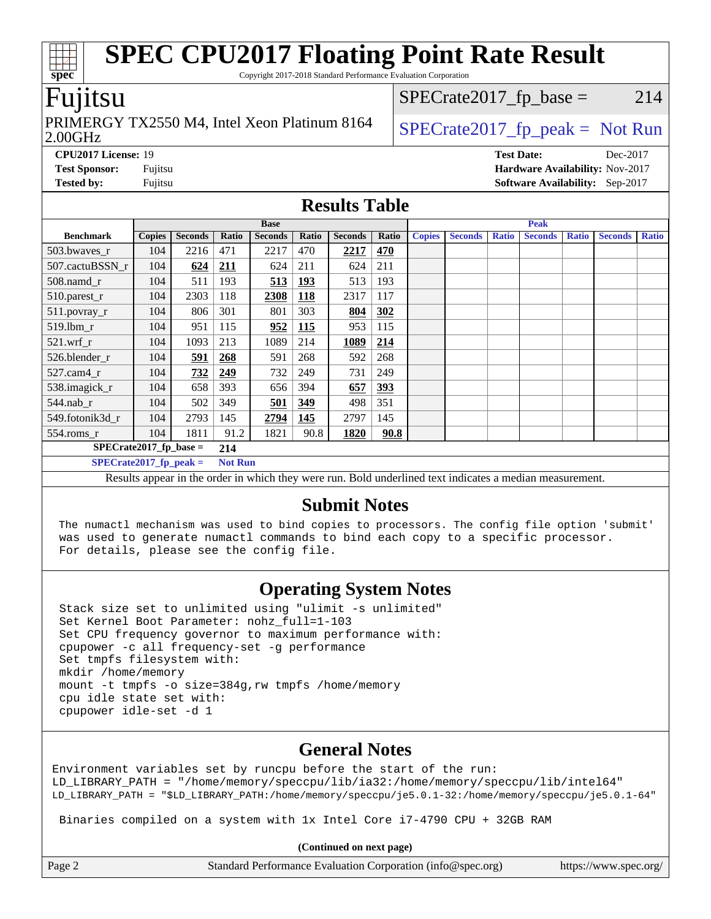Copyright 2017-2018 Standard Performance Evaluation Corporation

## Fujitsu

2.00GHz PRIMERGY TX2550 M4, Intel Xeon Platinum 8164  $\big|$  SPECrate 2017 fp peak = Not Run

 $SPECTate2017<sub>fr</sub> base = 214$ 

**[CPU2017 License:](http://www.spec.org/auto/cpu2017/Docs/result-fields.html#CPU2017License)** 19 **[Test Date:](http://www.spec.org/auto/cpu2017/Docs/result-fields.html#TestDate)** Dec-2017 **[Test Sponsor:](http://www.spec.org/auto/cpu2017/Docs/result-fields.html#TestSponsor)** Fujitsu **[Hardware Availability:](http://www.spec.org/auto/cpu2017/Docs/result-fields.html#HardwareAvailability)** Nov-2017 **[Tested by:](http://www.spec.org/auto/cpu2017/Docs/result-fields.html#Testedby)** Fujitsu **Fugital Example 2017 [Software Availability:](http://www.spec.org/auto/cpu2017/Docs/result-fields.html#SoftwareAvailability)** Sep-2017

### **[Results Table](http://www.spec.org/auto/cpu2017/Docs/result-fields.html#ResultsTable)**

|                                                                                                          | <b>Base</b>   |                |       |                |            |                | <b>Peak</b> |               |                |              |                |              |                |              |
|----------------------------------------------------------------------------------------------------------|---------------|----------------|-------|----------------|------------|----------------|-------------|---------------|----------------|--------------|----------------|--------------|----------------|--------------|
| <b>Benchmark</b>                                                                                         | <b>Copies</b> | <b>Seconds</b> | Ratio | <b>Seconds</b> | Ratio      | <b>Seconds</b> | Ratio       | <b>Copies</b> | <b>Seconds</b> | <b>Ratio</b> | <b>Seconds</b> | <b>Ratio</b> | <b>Seconds</b> | <b>Ratio</b> |
| 503.bwaves_r                                                                                             | 104           | 2216           | 471   | 2217           | 470        | 2217           | 470         |               |                |              |                |              |                |              |
| 507.cactuBSSN r                                                                                          | 104           | 624            | 211   | 624            | 211        | 624            | 211         |               |                |              |                |              |                |              |
| 508.namd_r                                                                                               | 104           | 511            | 193   | 513            | <b>193</b> | 513            | 193         |               |                |              |                |              |                |              |
| 510.parest_r                                                                                             | 104           | 2303           | 118   | 2308           | 118        | 2317           | 117         |               |                |              |                |              |                |              |
| 511.povray_r                                                                                             | 104           | 806            | 301   | 801            | 303        | 804            | 302         |               |                |              |                |              |                |              |
| $519$ .lbm $r$                                                                                           | 104           | 951            | 115   | 952            | 115        | 953            | 115         |               |                |              |                |              |                |              |
| $521$ .wrf r                                                                                             | 104           | 1093           | 213   | 1089           | 214        | 1089           | 214         |               |                |              |                |              |                |              |
| 526.blender r                                                                                            | 104           | 591            | 268   | 591            | 268        | 592            | 268         |               |                |              |                |              |                |              |
| $527$ .cam $4r$                                                                                          | 104           | 732            | 249   | 732            | 249        | 731            | 249         |               |                |              |                |              |                |              |
| 538.imagick_r                                                                                            | 104           | 658            | 393   | 656            | 394        | 657            | 393         |               |                |              |                |              |                |              |
| $544$ .nab r                                                                                             | 104           | 502            | 349   | 501            | 349        | 498            | 351         |               |                |              |                |              |                |              |
| 549.fotonik3d r                                                                                          | 104           | 2793           | 145   | 2794           | 145        | 2797           | 145         |               |                |              |                |              |                |              |
| $554$ .roms_r                                                                                            | 104           | 1811           | 91.2  | 1821           | 90.8       | 1820           | 90.8        |               |                |              |                |              |                |              |
| $SPECrate2017_fp\_base =$                                                                                |               |                | 214   |                |            |                |             |               |                |              |                |              |                |              |
| $SPECrate2017$ fp peak =<br><b>Not Run</b>                                                               |               |                |       |                |            |                |             |               |                |              |                |              |                |              |
| Results appear in the order in which they were run. Bold underlined text indicates a median measurement. |               |                |       |                |            |                |             |               |                |              |                |              |                |              |

# **[Submit Notes](http://www.spec.org/auto/cpu2017/Docs/result-fields.html#SubmitNotes)**

 The numactl mechanism was used to bind copies to processors. The config file option 'submit' was used to generate numactl commands to bind each copy to a specific processor. For details, please see the config file.

## **[Operating System Notes](http://www.spec.org/auto/cpu2017/Docs/result-fields.html#OperatingSystemNotes)**

 Stack size set to unlimited using "ulimit -s unlimited" Set Kernel Boot Parameter: nohz\_full=1-103 Set CPU frequency governor to maximum performance with: cpupower -c all frequency-set -g performance Set tmpfs filesystem with: mkdir /home/memory mount -t tmpfs -o size=384g,rw tmpfs /home/memory cpu idle state set with: cpupower idle-set -d 1

## **[General Notes](http://www.spec.org/auto/cpu2017/Docs/result-fields.html#GeneralNotes)**

Environment variables set by runcpu before the start of the run: LD\_LIBRARY\_PATH = "/home/memory/speccpu/lib/ia32:/home/memory/speccpu/lib/intel64" LD\_LIBRARY\_PATH = "\$LD\_LIBRARY\_PATH:/home/memory/speccpu/je5.0.1-32:/home/memory/speccpu/je5.0.1-64"

Binaries compiled on a system with 1x Intel Core i7-4790 CPU + 32GB RAM

**(Continued on next page)**

| Page 2 | Standard Performance Evaluation Corporation (info@spec.org) | https://www.spec.org/ |
|--------|-------------------------------------------------------------|-----------------------|
|--------|-------------------------------------------------------------|-----------------------|

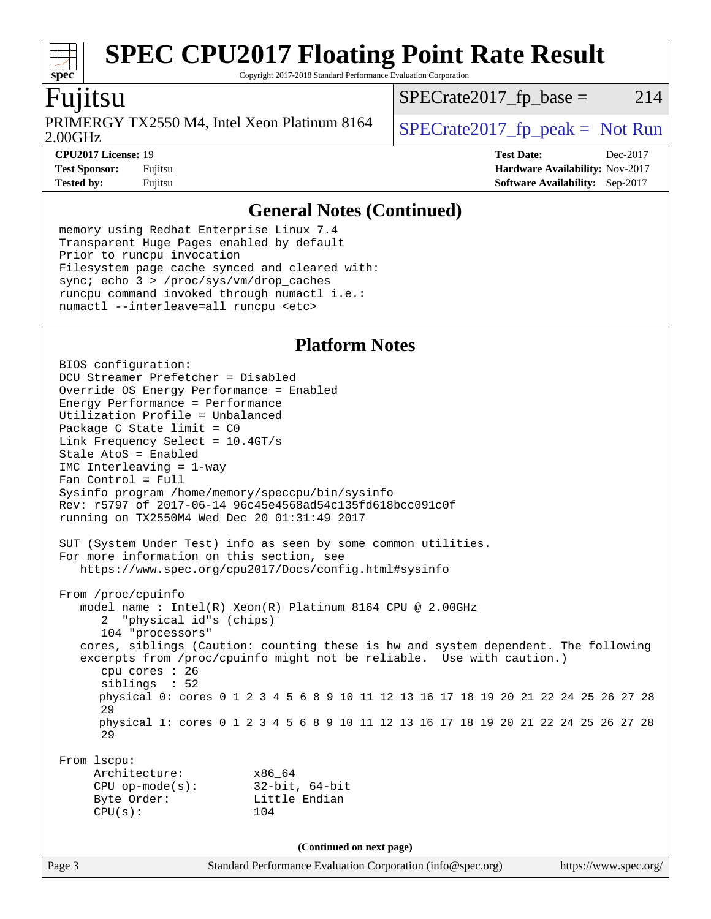Copyright 2017-2018 Standard Performance Evaluation Corporation

# Fujitsu

**[spec](http://www.spec.org/)**

2.00GHz PRIMERGY TX2550 M4, Intel Xeon Platinum 8164  $\big|$  SPECrate 2017 fp peak = Not Run

 $SPECTate2017<sub>fr</sub> base = 214$ 

**[CPU2017 License:](http://www.spec.org/auto/cpu2017/Docs/result-fields.html#CPU2017License)** 19 **[Test Date:](http://www.spec.org/auto/cpu2017/Docs/result-fields.html#TestDate)** Dec-2017 **[Test Sponsor:](http://www.spec.org/auto/cpu2017/Docs/result-fields.html#TestSponsor)** Fujitsu **[Hardware Availability:](http://www.spec.org/auto/cpu2017/Docs/result-fields.html#HardwareAvailability)** Nov-2017 **[Tested by:](http://www.spec.org/auto/cpu2017/Docs/result-fields.html#Testedby)** Fujitsu **Fugital Example 2017 [Software Availability:](http://www.spec.org/auto/cpu2017/Docs/result-fields.html#SoftwareAvailability)** Sep-2017

### **[General Notes \(Continued\)](http://www.spec.org/auto/cpu2017/Docs/result-fields.html#GeneralNotes)**

 memory using Redhat Enterprise Linux 7.4 Transparent Huge Pages enabled by default Prior to runcpu invocation Filesystem page cache synced and cleared with: sync; echo 3 > /proc/sys/vm/drop\_caches runcpu command invoked through numactl i.e.: numactl --interleave=all runcpu <etc>

## **[Platform Notes](http://www.spec.org/auto/cpu2017/Docs/result-fields.html#PlatformNotes)**

Page 3 Standard Performance Evaluation Corporation [\(info@spec.org\)](mailto:info@spec.org) <https://www.spec.org/> BIOS configuration: DCU Streamer Prefetcher = Disabled Override OS Energy Performance = Enabled Energy Performance = Performance Utilization Profile = Unbalanced Package C State limit = C0 Link Frequency Select = 10.4GT/s Stale AtoS = Enabled IMC Interleaving = 1-way Fan Control = Full Sysinfo program /home/memory/speccpu/bin/sysinfo Rev: r5797 of 2017-06-14 96c45e4568ad54c135fd618bcc091c0f running on TX2550M4 Wed Dec 20 01:31:49 2017 SUT (System Under Test) info as seen by some common utilities. For more information on this section, see <https://www.spec.org/cpu2017/Docs/config.html#sysinfo> From /proc/cpuinfo model name : Intel(R) Xeon(R) Platinum 8164 CPU @ 2.00GHz 2 "physical id"s (chips) 104 "processors" cores, siblings (Caution: counting these is hw and system dependent. The following excerpts from /proc/cpuinfo might not be reliable. Use with caution.) cpu cores : 26 siblings : 52 physical 0: cores 0 1 2 3 4 5 6 8 9 10 11 12 13 16 17 18 19 20 21 22 24 25 26 27 28 29 physical 1: cores 0 1 2 3 4 5 6 8 9 10 11 12 13 16 17 18 19 20 21 22 24 25 26 27 28 29 From lscpu: Architecture: x86\_64 CPU op-mode(s): 32-bit, 64-bit Byte Order: Little Endian CPU(s): 104 **(Continued on next page)**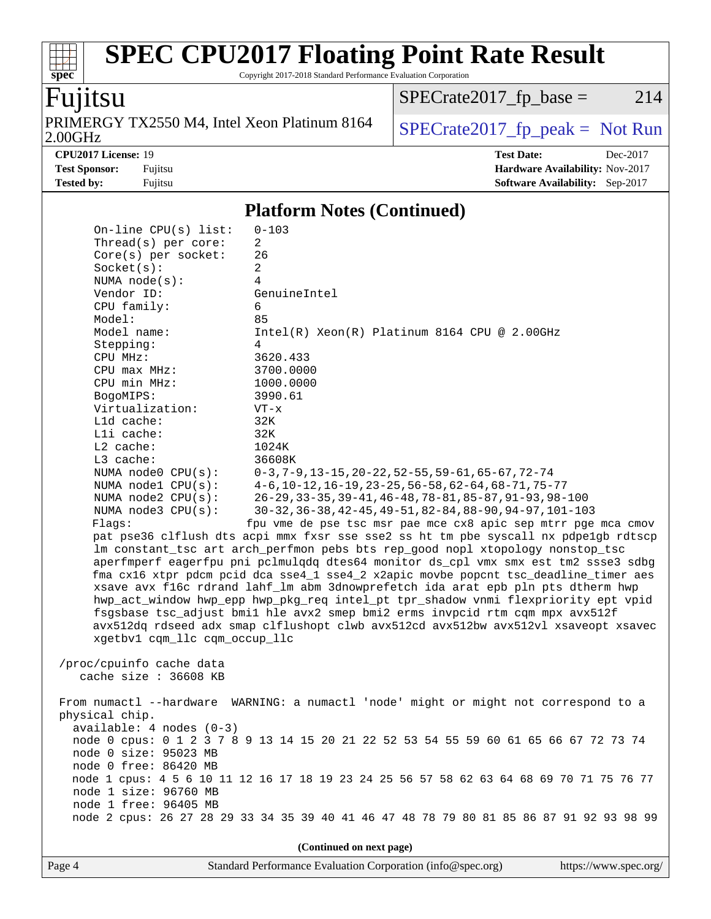Copyright 2017-2018 Standard Performance Evaluation Corporation

# Fujitsu

**[spec](http://www.spec.org/)**

2.00GHz PRIMERGY TX2550 M4, Intel Xeon Platinum 8164  $SPECrate2017_fp\_peak = Not Run$ 

 $SPECTate2017_fp\_base = 214$ 

**[CPU2017 License:](http://www.spec.org/auto/cpu2017/Docs/result-fields.html#CPU2017License)** 19 **[Test Date:](http://www.spec.org/auto/cpu2017/Docs/result-fields.html#TestDate)** Dec-2017 **[Test Sponsor:](http://www.spec.org/auto/cpu2017/Docs/result-fields.html#TestSponsor)** Fujitsu **[Hardware Availability:](http://www.spec.org/auto/cpu2017/Docs/result-fields.html#HardwareAvailability)** Nov-2017 **[Tested by:](http://www.spec.org/auto/cpu2017/Docs/result-fields.html#Testedby)** Fujitsu **Fugital Example 2017 [Software Availability:](http://www.spec.org/auto/cpu2017/Docs/result-fields.html#SoftwareAvailability)** Sep-2017

### **[Platform Notes \(Continued\)](http://www.spec.org/auto/cpu2017/Docs/result-fields.html#PlatformNotes)**

| /proc/cpuinfo cache data<br>cache size $: 36608$ KB<br>physical chip.<br>$available: 4 nodes (0-3)$<br>node 0 size: 95023 MB<br>node 0 free: 86420 MB<br>node 1 size: 96760 MB<br>node 1 free: 96405 MB | From numactl --hardware WARNING: a numactl 'node' might or might not correspond to a<br>node 0 cpus: 0 1 2 3 7 8 9 13 14 15 20 21 22 52 53 54 55 59 60 61 65 66 67 72 73 74<br>node 1 cpus: 4 5 6 10 11 12 16 17 18 19 23 24 25 56 57 58 62 63 64 68 69 70 71 75 76 77<br>node 2 cpus: 26 27 28 29 33 34 35 39 40 41 46 47 48 78 79 80 81 85 86 87 91 92 93 98 99<br>(Continued on next page) |
|---------------------------------------------------------------------------------------------------------------------------------------------------------------------------------------------------------|-----------------------------------------------------------------------------------------------------------------------------------------------------------------------------------------------------------------------------------------------------------------------------------------------------------------------------------------------------------------------------------------------|
|                                                                                                                                                                                                         |                                                                                                                                                                                                                                                                                                                                                                                               |
|                                                                                                                                                                                                         |                                                                                                                                                                                                                                                                                                                                                                                               |
|                                                                                                                                                                                                         |                                                                                                                                                                                                                                                                                                                                                                                               |
|                                                                                                                                                                                                         |                                                                                                                                                                                                                                                                                                                                                                                               |
|                                                                                                                                                                                                         |                                                                                                                                                                                                                                                                                                                                                                                               |
|                                                                                                                                                                                                         |                                                                                                                                                                                                                                                                                                                                                                                               |
|                                                                                                                                                                                                         |                                                                                                                                                                                                                                                                                                                                                                                               |
|                                                                                                                                                                                                         |                                                                                                                                                                                                                                                                                                                                                                                               |
|                                                                                                                                                                                                         |                                                                                                                                                                                                                                                                                                                                                                                               |
|                                                                                                                                                                                                         |                                                                                                                                                                                                                                                                                                                                                                                               |
|                                                                                                                                                                                                         |                                                                                                                                                                                                                                                                                                                                                                                               |
|                                                                                                                                                                                                         |                                                                                                                                                                                                                                                                                                                                                                                               |
|                                                                                                                                                                                                         |                                                                                                                                                                                                                                                                                                                                                                                               |
|                                                                                                                                                                                                         |                                                                                                                                                                                                                                                                                                                                                                                               |
|                                                                                                                                                                                                         |                                                                                                                                                                                                                                                                                                                                                                                               |
|                                                                                                                                                                                                         |                                                                                                                                                                                                                                                                                                                                                                                               |
| xgetbv1 cqm_llc cqm_occup_llc                                                                                                                                                                           |                                                                                                                                                                                                                                                                                                                                                                                               |
|                                                                                                                                                                                                         | fsgsbase tsc_adjust bmil hle avx2 smep bmi2 erms invpcid rtm cqm mpx avx512f<br>avx512dq rdseed adx smap clflushopt clwb avx512cd avx512bw avx512vl xsaveopt xsavec                                                                                                                                                                                                                           |
|                                                                                                                                                                                                         | hwp_act_window hwp_epp hwp_pkg_req intel_pt tpr_shadow vnmi flexpriority ept vpid                                                                                                                                                                                                                                                                                                             |
|                                                                                                                                                                                                         | xsave avx f16c rdrand lahf_lm abm 3dnowprefetch ida arat epb pln pts dtherm hwp                                                                                                                                                                                                                                                                                                               |
|                                                                                                                                                                                                         | fma cx16 xtpr pdcm pcid dca sse4_1 sse4_2 x2apic movbe popcnt tsc_deadline_timer aes                                                                                                                                                                                                                                                                                                          |
|                                                                                                                                                                                                         | aperfmperf eagerfpu pni pclmulqdq dtes64 monitor ds_cpl vmx smx est tm2 ssse3 sdbg                                                                                                                                                                                                                                                                                                            |
|                                                                                                                                                                                                         | lm constant_tsc art arch_perfmon pebs bts rep_good nopl xtopology nonstop_tsc                                                                                                                                                                                                                                                                                                                 |
|                                                                                                                                                                                                         | pat pse36 clflush dts acpi mmx fxsr sse sse2 ss ht tm pbe syscall nx pdpelgb rdtscp                                                                                                                                                                                                                                                                                                           |
| Flagg:                                                                                                                                                                                                  | fpu vme de pse tsc msr pae mce cx8 apic sep mtrr pge mca cmov                                                                                                                                                                                                                                                                                                                                 |
| NUMA node3 CPU(s):                                                                                                                                                                                      | 30-32, 36-38, 42-45, 49-51, 82-84, 88-90, 94-97, 101-103                                                                                                                                                                                                                                                                                                                                      |
| NUMA $node2$ $CPU(s):$                                                                                                                                                                                  | 26-29, 33-35, 39-41, 46-48, 78-81, 85-87, 91-93, 98-100                                                                                                                                                                                                                                                                                                                                       |
| NUMA nodel CPU(s):                                                                                                                                                                                      | $4-6$ , 10-12, 16-19, 23-25, 56-58, 62-64, 68-71, 75-77                                                                                                                                                                                                                                                                                                                                       |
| NUMA node0 CPU(s):                                                                                                                                                                                      | $0-3, 7-9, 13-15, 20-22, 52-55, 59-61, 65-67, 72-74$                                                                                                                                                                                                                                                                                                                                          |
| L3 cache:                                                                                                                                                                                               | 36608K                                                                                                                                                                                                                                                                                                                                                                                        |
| $L2$ cache:                                                                                                                                                                                             | 1024K                                                                                                                                                                                                                                                                                                                                                                                         |
| Lli cache:                                                                                                                                                                                              | 32K                                                                                                                                                                                                                                                                                                                                                                                           |
| L1d cache:                                                                                                                                                                                              | 32K                                                                                                                                                                                                                                                                                                                                                                                           |
| Virtualization:                                                                                                                                                                                         | $VT - x$                                                                                                                                                                                                                                                                                                                                                                                      |
| BogoMIPS:                                                                                                                                                                                               | 3990.61                                                                                                                                                                                                                                                                                                                                                                                       |
| CPU min MHz:                                                                                                                                                                                            | 1000.0000                                                                                                                                                                                                                                                                                                                                                                                     |
| CPU max MHz:                                                                                                                                                                                            | 3700.0000                                                                                                                                                                                                                                                                                                                                                                                     |
| CPU MHz:                                                                                                                                                                                                | 3620.433                                                                                                                                                                                                                                                                                                                                                                                      |
| Stepping:                                                                                                                                                                                               | 4                                                                                                                                                                                                                                                                                                                                                                                             |
| Model name:                                                                                                                                                                                             | $Intel(R) Xeon(R) Platinum 8164 CPU @ 2.00GHz$                                                                                                                                                                                                                                                                                                                                                |
| Model:                                                                                                                                                                                                  | 85                                                                                                                                                                                                                                                                                                                                                                                            |
| CPU family:                                                                                                                                                                                             | 6                                                                                                                                                                                                                                                                                                                                                                                             |
| Vendor ID:                                                                                                                                                                                              | GenuineIntel                                                                                                                                                                                                                                                                                                                                                                                  |
| NUMA node(s):                                                                                                                                                                                           | 4                                                                                                                                                                                                                                                                                                                                                                                             |
| Socket(s):                                                                                                                                                                                              | 2                                                                                                                                                                                                                                                                                                                                                                                             |
| $Core(s)$ per socket:                                                                                                                                                                                   | 26                                                                                                                                                                                                                                                                                                                                                                                            |
|                                                                                                                                                                                                         |                                                                                                                                                                                                                                                                                                                                                                                               |
| On-line CPU(s) list:<br>Thread(s) per core:                                                                                                                                                             | $0 - 103$<br>2                                                                                                                                                                                                                                                                                                                                                                                |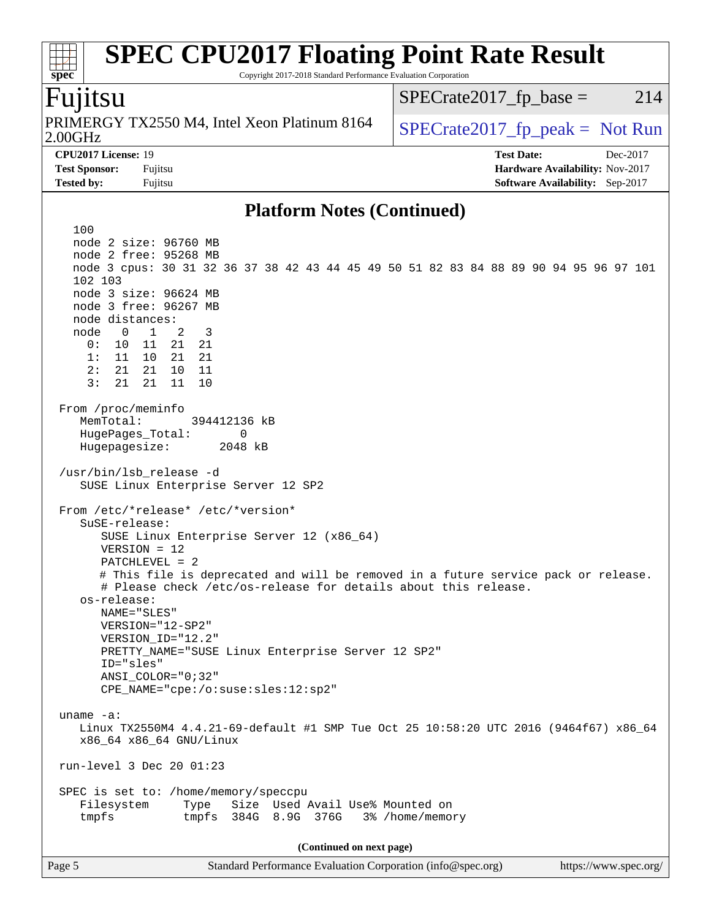Copyright 2017-2018 Standard Performance Evaluation Corporation

## Fujitsu

**[spec](http://www.spec.org/)**

2.00GHz PRIMERGY TX2550 M4, Intel Xeon Platinum 8164  $\big|$  SPECrate 2017 fp peak = Not Run

 $SPECTate2017<sub>fr</sub> base = 214$ 

**[CPU2017 License:](http://www.spec.org/auto/cpu2017/Docs/result-fields.html#CPU2017License)** 19 **[Test Date:](http://www.spec.org/auto/cpu2017/Docs/result-fields.html#TestDate)** Dec-2017 **[Test Sponsor:](http://www.spec.org/auto/cpu2017/Docs/result-fields.html#TestSponsor)** Fujitsu **[Hardware Availability:](http://www.spec.org/auto/cpu2017/Docs/result-fields.html#HardwareAvailability)** Nov-2017 **[Tested by:](http://www.spec.org/auto/cpu2017/Docs/result-fields.html#Testedby)** Fujitsu **Fugital Example 2017 [Software Availability:](http://www.spec.org/auto/cpu2017/Docs/result-fields.html#SoftwareAvailability)** Sep-2017

### **[Platform Notes \(Continued\)](http://www.spec.org/auto/cpu2017/Docs/result-fields.html#PlatformNotes)**

Page 5 Standard Performance Evaluation Corporation [\(info@spec.org\)](mailto:info@spec.org) <https://www.spec.org/> 100 node 2 size: 96760 MB node 2 free: 95268 MB node 3 cpus: 30 31 32 36 37 38 42 43 44 45 49 50 51 82 83 84 88 89 90 94 95 96 97 101 102 103 node 3 size: 96624 MB node 3 free: 96267 MB node distances: node 0 1 2 3 0: 10 11 21 21 1: 11 10 21 21 2: 21 21 10 11 3: 21 21 11 10 From /proc/meminfo MemTotal: 394412136 kB HugePages\_Total: 0 Hugepagesize: 2048 kB /usr/bin/lsb\_release -d SUSE Linux Enterprise Server 12 SP2 From /etc/\*release\* /etc/\*version\* SuSE-release: SUSE Linux Enterprise Server 12 (x86\_64) VERSION = 12 PATCHLEVEL = 2 # This file is deprecated and will be removed in a future service pack or release. # Please check /etc/os-release for details about this release. os-release: NAME="SLES" VERSION="12-SP2" VERSION\_ID="12.2" PRETTY\_NAME="SUSE Linux Enterprise Server 12 SP2" ID="sles" ANSI\_COLOR="0;32" CPE\_NAME="cpe:/o:suse:sles:12:sp2" uname -a: Linux TX2550M4 4.4.21-69-default #1 SMP Tue Oct 25 10:58:20 UTC 2016 (9464f67) x86\_64 x86\_64 x86\_64 GNU/Linux run-level 3 Dec 20 01:23 SPEC is set to: /home/memory/speccpu Filesystem Type Size Used Avail Use% Mounted on tmpfs tmpfs 384G 8.9G 376G 3% /home/memory **(Continued on next page)**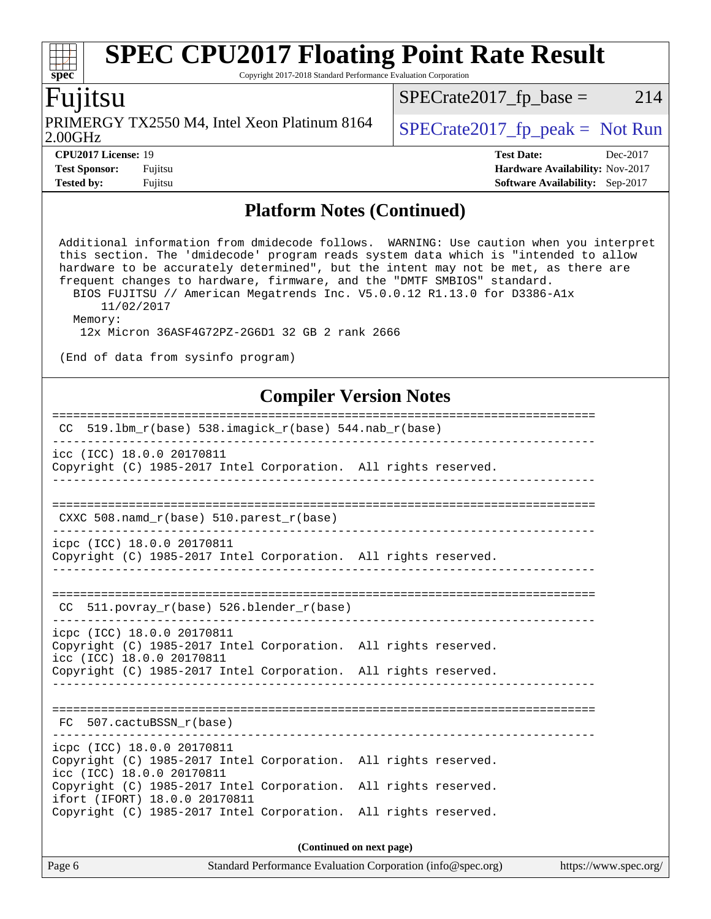Copyright 2017-2018 Standard Performance Evaluation Corporation

# Fujitsu

**[spec](http://www.spec.org/)**

 $\pm t$ 

2.00GHz PRIMERGY TX2550 M4, Intel Xeon Platinum 8164  $\big|$  [SPECrate2017\\_fp\\_peak =](http://www.spec.org/auto/cpu2017/Docs/result-fields.html#SPECrate2017fppeak) Not Run

 $SPECTate2017_fp\_base = 214$ 

**[CPU2017 License:](http://www.spec.org/auto/cpu2017/Docs/result-fields.html#CPU2017License)** 19 **[Test Date:](http://www.spec.org/auto/cpu2017/Docs/result-fields.html#TestDate)** Dec-2017 **[Test Sponsor:](http://www.spec.org/auto/cpu2017/Docs/result-fields.html#TestSponsor)** Fujitsu **[Hardware Availability:](http://www.spec.org/auto/cpu2017/Docs/result-fields.html#HardwareAvailability)** Nov-2017 **[Tested by:](http://www.spec.org/auto/cpu2017/Docs/result-fields.html#Testedby)** Fujitsu **Fugital Example 2017 [Software Availability:](http://www.spec.org/auto/cpu2017/Docs/result-fields.html#SoftwareAvailability)** Sep-2017

### **[Platform Notes \(Continued\)](http://www.spec.org/auto/cpu2017/Docs/result-fields.html#PlatformNotes)**

 Additional information from dmidecode follows. WARNING: Use caution when you interpret this section. The 'dmidecode' program reads system data which is "intended to allow hardware to be accurately determined", but the intent may not be met, as there are frequent changes to hardware, firmware, and the "DMTF SMBIOS" standard. BIOS FUJITSU // American Megatrends Inc. V5.0.0.12 R1.13.0 for D3386-A1x 11/02/2017 Memory: 12x Micron 36ASF4G72PZ-2G6D1 32 GB 2 rank 2666 (End of data from sysinfo program)

## **[Compiler Version Notes](http://www.spec.org/auto/cpu2017/Docs/result-fields.html#CompilerVersionNotes)**

| $519.1$ bm_r(base) 538.imagick_r(base) 544.nab_r(base)<br>CC.                                                                                                                                 |  |  |  |  |  |  |
|-----------------------------------------------------------------------------------------------------------------------------------------------------------------------------------------------|--|--|--|--|--|--|
| icc (ICC) 18.0.0 20170811<br>Copyright (C) 1985-2017 Intel Corporation. All rights reserved.                                                                                                  |  |  |  |  |  |  |
| CXXC 508. namd $r(base)$ 510. parest $r(base)$                                                                                                                                                |  |  |  |  |  |  |
| icpc (ICC) 18.0.0 20170811<br>Copyright (C) 1985-2017 Intel Corporation. All rights reserved.                                                                                                 |  |  |  |  |  |  |
| 511.povray_r(base) 526.blender_r(base)<br>CC                                                                                                                                                  |  |  |  |  |  |  |
| icpc (ICC) 18.0.0 20170811<br>Copyright (C) 1985-2017 Intel Corporation. All rights reserved.<br>icc (ICC) 18.0.0 20170811<br>Copyright (C) 1985-2017 Intel Corporation. All rights reserved. |  |  |  |  |  |  |
| FC 507.cactuBSSN_r(base)                                                                                                                                                                      |  |  |  |  |  |  |
| icpc (ICC) 18.0.0 20170811<br>Copyright (C) 1985-2017 Intel Corporation. All rights reserved.<br>icc (ICC) 18.0.0 20170811                                                                    |  |  |  |  |  |  |
| Copyright (C) 1985-2017 Intel Corporation. All rights reserved.<br>ifort (IFORT) 18.0.0 20170811<br>Copyright (C) 1985-2017 Intel Corporation. All rights reserved.                           |  |  |  |  |  |  |
|                                                                                                                                                                                               |  |  |  |  |  |  |

**(Continued on next page)**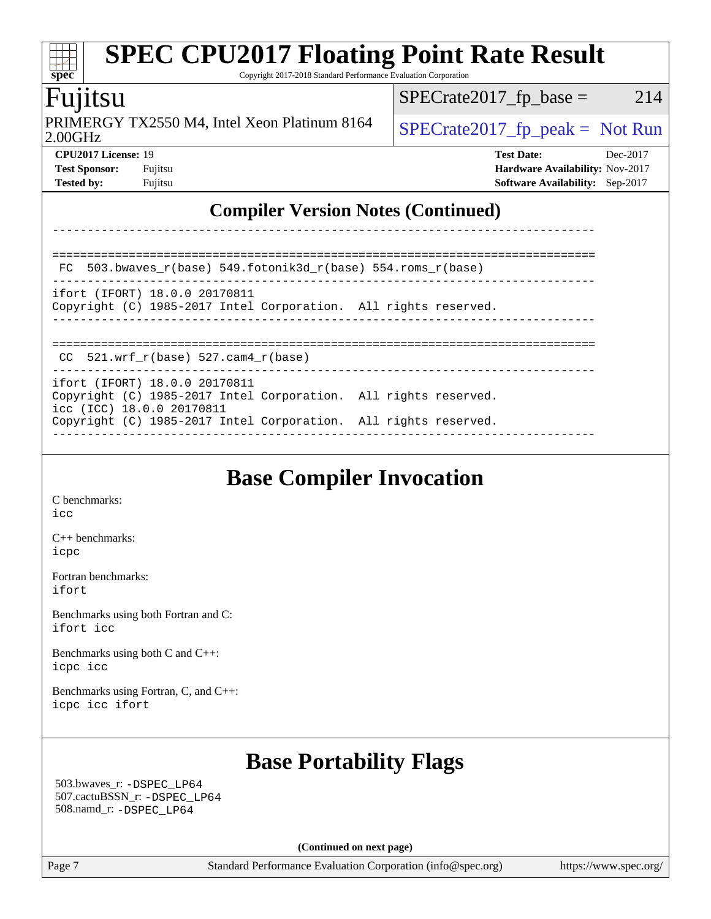### **[SPEC CPU2017 Floating Point Rate Result](http://www.spec.org/auto/cpu2017/Docs/result-fields.html#SPECCPU2017FloatingPointRateResult)**  $\pm t$ **[spec](http://www.spec.org/)** Copyright 2017-2018 Standard Performance Evaluation Corporation Fujitsu  $SPECTate2017_fp\_base = 214$ PRIMERGY TX2550 M4, Intel Xeon Platinum 8164  $\big|$  [SPECrate2017\\_fp\\_peak =](http://www.spec.org/auto/cpu2017/Docs/result-fields.html#SPECrate2017fppeak) Not Run 2.00GHz **[CPU2017 License:](http://www.spec.org/auto/cpu2017/Docs/result-fields.html#CPU2017License)** 19 **[Test Date:](http://www.spec.org/auto/cpu2017/Docs/result-fields.html#TestDate)** Dec-2017 **[Test Sponsor:](http://www.spec.org/auto/cpu2017/Docs/result-fields.html#TestSponsor)** Fujitsu **[Hardware Availability:](http://www.spec.org/auto/cpu2017/Docs/result-fields.html#HardwareAvailability)** Nov-2017 **[Tested by:](http://www.spec.org/auto/cpu2017/Docs/result-fields.html#Testedby)** Fujitsu **[Software Availability:](http://www.spec.org/auto/cpu2017/Docs/result-fields.html#SoftwareAvailability)** Sep-2017 **[Compiler Version Notes \(Continued\)](http://www.spec.org/auto/cpu2017/Docs/result-fields.html#CompilerVersionNotes)** ------------------------------------------------------------------------------ ============================================================================== FC 503.bwaves\_r(base) 549.fotonik3d\_r(base) 554.roms\_r(base) ----------------------------------------------------------------------------- ifort (IFORT) 18.0.0 20170811 Copyright (C) 1985-2017 Intel Corporation. All rights reserved. ------------------------------------------------------------------------------ ==============================================================================  $CC$  521.wrf\_r(base) 527.cam4\_r(base)

**(Continued on next page)**

Page 7 Standard Performance Evaluation Corporation [\(info@spec.org\)](mailto:info@spec.org) <https://www.spec.org/>

|                                                                                                                               | ----------------------- |
|-------------------------------------------------------------------------------------------------------------------------------|-------------------------|
| FC 503.bwaves $r(base)$ 549.fotonik3d $r(base)$ 554.roms $r(base)$                                                            |                         |
| ifort (IFORT) 18.0.0 20170811<br>Copyright (C) 1985-2017 Intel Corporation. All rights reserved.                              |                         |
|                                                                                                                               |                         |
| $CC$ 521.wrf $r(base)$ 527.cam4 $r(base)$                                                                                     |                         |
| ifort (IFORT) 18.0.0 20170811<br>Copyright (C) 1985-2017 Intel Corporation. All rights reserved.<br>icc (ICC) 18.0.0 20170811 |                         |
| Copyright (C) 1985-2017 Intel Corporation. All rights reserved.                                                               |                         |

# **[Base Compiler Invocation](http://www.spec.org/auto/cpu2017/Docs/result-fields.html#BaseCompilerInvocation)**

[C benchmarks](http://www.spec.org/auto/cpu2017/Docs/result-fields.html#Cbenchmarks): [icc](http://www.spec.org/cpu2017/results/res2018q1/cpu2017-20171226-02231.flags.html#user_CCbase_intel_icc_18.0_66fc1ee009f7361af1fbd72ca7dcefbb700085f36577c54f309893dd4ec40d12360134090235512931783d35fd58c0460139e722d5067c5574d8eaf2b3e37e92)

[C++ benchmarks:](http://www.spec.org/auto/cpu2017/Docs/result-fields.html#CXXbenchmarks) [icpc](http://www.spec.org/cpu2017/results/res2018q1/cpu2017-20171226-02231.flags.html#user_CXXbase_intel_icpc_18.0_c510b6838c7f56d33e37e94d029a35b4a7bccf4766a728ee175e80a419847e808290a9b78be685c44ab727ea267ec2f070ec5dc83b407c0218cded6866a35d07)

[Fortran benchmarks](http://www.spec.org/auto/cpu2017/Docs/result-fields.html#Fortranbenchmarks): [ifort](http://www.spec.org/cpu2017/results/res2018q1/cpu2017-20171226-02231.flags.html#user_FCbase_intel_ifort_18.0_8111460550e3ca792625aed983ce982f94888b8b503583aa7ba2b8303487b4d8a21a13e7191a45c5fd58ff318f48f9492884d4413fa793fd88dd292cad7027ca)

[Benchmarks using both Fortran and C](http://www.spec.org/auto/cpu2017/Docs/result-fields.html#BenchmarksusingbothFortranandC): [ifort](http://www.spec.org/cpu2017/results/res2018q1/cpu2017-20171226-02231.flags.html#user_CC_FCbase_intel_ifort_18.0_8111460550e3ca792625aed983ce982f94888b8b503583aa7ba2b8303487b4d8a21a13e7191a45c5fd58ff318f48f9492884d4413fa793fd88dd292cad7027ca) [icc](http://www.spec.org/cpu2017/results/res2018q1/cpu2017-20171226-02231.flags.html#user_CC_FCbase_intel_icc_18.0_66fc1ee009f7361af1fbd72ca7dcefbb700085f36577c54f309893dd4ec40d12360134090235512931783d35fd58c0460139e722d5067c5574d8eaf2b3e37e92)

[Benchmarks using both C and C++](http://www.spec.org/auto/cpu2017/Docs/result-fields.html#BenchmarksusingbothCandCXX): [icpc](http://www.spec.org/cpu2017/results/res2018q1/cpu2017-20171226-02231.flags.html#user_CC_CXXbase_intel_icpc_18.0_c510b6838c7f56d33e37e94d029a35b4a7bccf4766a728ee175e80a419847e808290a9b78be685c44ab727ea267ec2f070ec5dc83b407c0218cded6866a35d07) [icc](http://www.spec.org/cpu2017/results/res2018q1/cpu2017-20171226-02231.flags.html#user_CC_CXXbase_intel_icc_18.0_66fc1ee009f7361af1fbd72ca7dcefbb700085f36577c54f309893dd4ec40d12360134090235512931783d35fd58c0460139e722d5067c5574d8eaf2b3e37e92)

[Benchmarks using Fortran, C, and C++:](http://www.spec.org/auto/cpu2017/Docs/result-fields.html#BenchmarksusingFortranCandCXX) [icpc](http://www.spec.org/cpu2017/results/res2018q1/cpu2017-20171226-02231.flags.html#user_CC_CXX_FCbase_intel_icpc_18.0_c510b6838c7f56d33e37e94d029a35b4a7bccf4766a728ee175e80a419847e808290a9b78be685c44ab727ea267ec2f070ec5dc83b407c0218cded6866a35d07) [icc](http://www.spec.org/cpu2017/results/res2018q1/cpu2017-20171226-02231.flags.html#user_CC_CXX_FCbase_intel_icc_18.0_66fc1ee009f7361af1fbd72ca7dcefbb700085f36577c54f309893dd4ec40d12360134090235512931783d35fd58c0460139e722d5067c5574d8eaf2b3e37e92) [ifort](http://www.spec.org/cpu2017/results/res2018q1/cpu2017-20171226-02231.flags.html#user_CC_CXX_FCbase_intel_ifort_18.0_8111460550e3ca792625aed983ce982f94888b8b503583aa7ba2b8303487b4d8a21a13e7191a45c5fd58ff318f48f9492884d4413fa793fd88dd292cad7027ca)

# **[Base Portability Flags](http://www.spec.org/auto/cpu2017/Docs/result-fields.html#BasePortabilityFlags)**

 503.bwaves\_r: [-DSPEC\\_LP64](http://www.spec.org/cpu2017/results/res2018q1/cpu2017-20171226-02231.flags.html#suite_basePORTABILITY503_bwaves_r_DSPEC_LP64) 507.cactuBSSN\_r: [-DSPEC\\_LP64](http://www.spec.org/cpu2017/results/res2018q1/cpu2017-20171226-02231.flags.html#suite_basePORTABILITY507_cactuBSSN_r_DSPEC_LP64) 508.namd\_r: [-DSPEC\\_LP64](http://www.spec.org/cpu2017/results/res2018q1/cpu2017-20171226-02231.flags.html#suite_basePORTABILITY508_namd_r_DSPEC_LP64)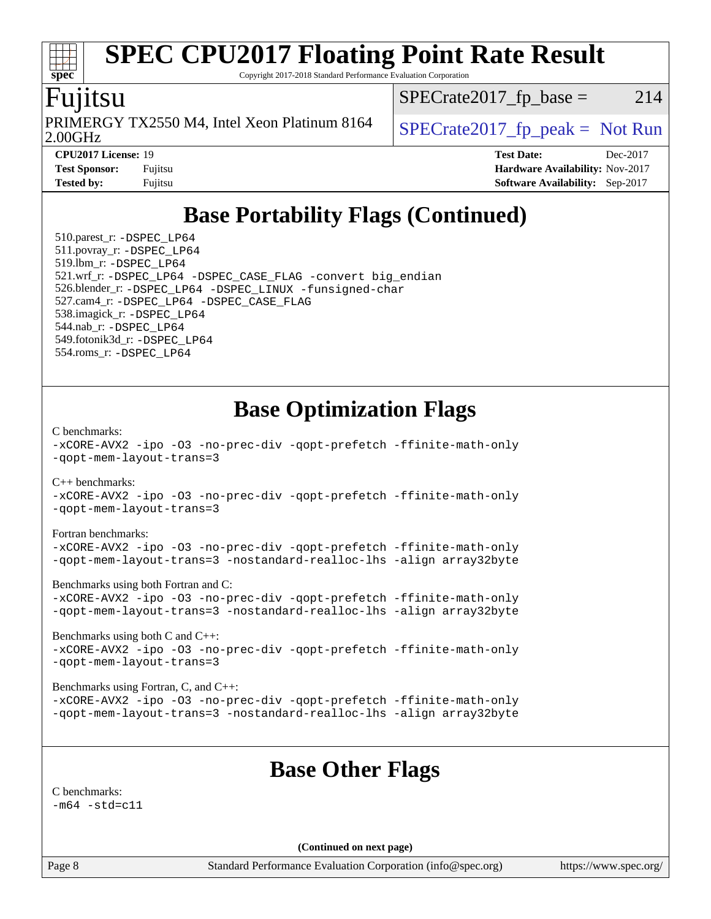Copyright 2017-2018 Standard Performance Evaluation Corporation

## Fujitsu

**[spec](http://www.spec.org/)**

2.00GHz PRIMERGY TX2550 M4, Intel Xeon Platinum 8164  $\big|$  SPECrate 2017 fp peak = Not Run

 $SPECTate2017<sub>fr</sub> base = 214$ 

**[CPU2017 License:](http://www.spec.org/auto/cpu2017/Docs/result-fields.html#CPU2017License)** 19 **[Test Date:](http://www.spec.org/auto/cpu2017/Docs/result-fields.html#TestDate)** Dec-2017 **[Test Sponsor:](http://www.spec.org/auto/cpu2017/Docs/result-fields.html#TestSponsor)** Fujitsu **[Hardware Availability:](http://www.spec.org/auto/cpu2017/Docs/result-fields.html#HardwareAvailability)** Nov-2017 **[Tested by:](http://www.spec.org/auto/cpu2017/Docs/result-fields.html#Testedby)** Fujitsu **[Software Availability:](http://www.spec.org/auto/cpu2017/Docs/result-fields.html#SoftwareAvailability)** Sep-2017

# **[Base Portability Flags \(Continued\)](http://www.spec.org/auto/cpu2017/Docs/result-fields.html#BasePortabilityFlags)**

 510.parest\_r: [-DSPEC\\_LP64](http://www.spec.org/cpu2017/results/res2018q1/cpu2017-20171226-02231.flags.html#suite_basePORTABILITY510_parest_r_DSPEC_LP64) 511.povray\_r: [-DSPEC\\_LP64](http://www.spec.org/cpu2017/results/res2018q1/cpu2017-20171226-02231.flags.html#suite_basePORTABILITY511_povray_r_DSPEC_LP64) 519.lbm\_r: [-DSPEC\\_LP64](http://www.spec.org/cpu2017/results/res2018q1/cpu2017-20171226-02231.flags.html#suite_basePORTABILITY519_lbm_r_DSPEC_LP64) 521.wrf\_r: [-DSPEC\\_LP64](http://www.spec.org/cpu2017/results/res2018q1/cpu2017-20171226-02231.flags.html#suite_basePORTABILITY521_wrf_r_DSPEC_LP64) [-DSPEC\\_CASE\\_FLAG](http://www.spec.org/cpu2017/results/res2018q1/cpu2017-20171226-02231.flags.html#b521.wrf_r_baseCPORTABILITY_DSPEC_CASE_FLAG) [-convert big\\_endian](http://www.spec.org/cpu2017/results/res2018q1/cpu2017-20171226-02231.flags.html#user_baseFPORTABILITY521_wrf_r_convert_big_endian_c3194028bc08c63ac5d04de18c48ce6d347e4e562e8892b8bdbdc0214820426deb8554edfa529a3fb25a586e65a3d812c835984020483e7e73212c4d31a38223) 526.blender\_r: [-DSPEC\\_LP64](http://www.spec.org/cpu2017/results/res2018q1/cpu2017-20171226-02231.flags.html#suite_basePORTABILITY526_blender_r_DSPEC_LP64) [-DSPEC\\_LINUX](http://www.spec.org/cpu2017/results/res2018q1/cpu2017-20171226-02231.flags.html#b526.blender_r_baseCPORTABILITY_DSPEC_LINUX) [-funsigned-char](http://www.spec.org/cpu2017/results/res2018q1/cpu2017-20171226-02231.flags.html#user_baseCPORTABILITY526_blender_r_force_uchar_40c60f00ab013830e2dd6774aeded3ff59883ba5a1fc5fc14077f794d777847726e2a5858cbc7672e36e1b067e7e5c1d9a74f7176df07886a243d7cc18edfe67) 527.cam4\_r: [-DSPEC\\_LP64](http://www.spec.org/cpu2017/results/res2018q1/cpu2017-20171226-02231.flags.html#suite_basePORTABILITY527_cam4_r_DSPEC_LP64) [-DSPEC\\_CASE\\_FLAG](http://www.spec.org/cpu2017/results/res2018q1/cpu2017-20171226-02231.flags.html#b527.cam4_r_baseCPORTABILITY_DSPEC_CASE_FLAG) 538.imagick\_r: [-DSPEC\\_LP64](http://www.spec.org/cpu2017/results/res2018q1/cpu2017-20171226-02231.flags.html#suite_basePORTABILITY538_imagick_r_DSPEC_LP64) 544.nab\_r: [-DSPEC\\_LP64](http://www.spec.org/cpu2017/results/res2018q1/cpu2017-20171226-02231.flags.html#suite_basePORTABILITY544_nab_r_DSPEC_LP64) 549.fotonik3d\_r: [-DSPEC\\_LP64](http://www.spec.org/cpu2017/results/res2018q1/cpu2017-20171226-02231.flags.html#suite_basePORTABILITY549_fotonik3d_r_DSPEC_LP64) 554.roms\_r: [-DSPEC\\_LP64](http://www.spec.org/cpu2017/results/res2018q1/cpu2017-20171226-02231.flags.html#suite_basePORTABILITY554_roms_r_DSPEC_LP64)

# **[Base Optimization Flags](http://www.spec.org/auto/cpu2017/Docs/result-fields.html#BaseOptimizationFlags)**

[C benchmarks](http://www.spec.org/auto/cpu2017/Docs/result-fields.html#Cbenchmarks):

[-xCORE-AVX2](http://www.spec.org/cpu2017/results/res2018q1/cpu2017-20171226-02231.flags.html#user_CCbase_f-xCORE-AVX2) [-ipo](http://www.spec.org/cpu2017/results/res2018q1/cpu2017-20171226-02231.flags.html#user_CCbase_f-ipo) [-O3](http://www.spec.org/cpu2017/results/res2018q1/cpu2017-20171226-02231.flags.html#user_CCbase_f-O3) [-no-prec-div](http://www.spec.org/cpu2017/results/res2018q1/cpu2017-20171226-02231.flags.html#user_CCbase_f-no-prec-div) [-qopt-prefetch](http://www.spec.org/cpu2017/results/res2018q1/cpu2017-20171226-02231.flags.html#user_CCbase_f-qopt-prefetch) [-ffinite-math-only](http://www.spec.org/cpu2017/results/res2018q1/cpu2017-20171226-02231.flags.html#user_CCbase_f_finite_math_only_cb91587bd2077682c4b38af759c288ed7c732db004271a9512da14a4f8007909a5f1427ecbf1a0fb78ff2a814402c6114ac565ca162485bbcae155b5e4258871) [-qopt-mem-layout-trans=3](http://www.spec.org/cpu2017/results/res2018q1/cpu2017-20171226-02231.flags.html#user_CCbase_f-qopt-mem-layout-trans_de80db37974c74b1f0e20d883f0b675c88c3b01e9d123adea9b28688d64333345fb62bc4a798493513fdb68f60282f9a726aa07f478b2f7113531aecce732043) [C++ benchmarks:](http://www.spec.org/auto/cpu2017/Docs/result-fields.html#CXXbenchmarks) [-xCORE-AVX2](http://www.spec.org/cpu2017/results/res2018q1/cpu2017-20171226-02231.flags.html#user_CXXbase_f-xCORE-AVX2) [-ipo](http://www.spec.org/cpu2017/results/res2018q1/cpu2017-20171226-02231.flags.html#user_CXXbase_f-ipo) [-O3](http://www.spec.org/cpu2017/results/res2018q1/cpu2017-20171226-02231.flags.html#user_CXXbase_f-O3) [-no-prec-div](http://www.spec.org/cpu2017/results/res2018q1/cpu2017-20171226-02231.flags.html#user_CXXbase_f-no-prec-div) [-qopt-prefetch](http://www.spec.org/cpu2017/results/res2018q1/cpu2017-20171226-02231.flags.html#user_CXXbase_f-qopt-prefetch) [-ffinite-math-only](http://www.spec.org/cpu2017/results/res2018q1/cpu2017-20171226-02231.flags.html#user_CXXbase_f_finite_math_only_cb91587bd2077682c4b38af759c288ed7c732db004271a9512da14a4f8007909a5f1427ecbf1a0fb78ff2a814402c6114ac565ca162485bbcae155b5e4258871) [-qopt-mem-layout-trans=3](http://www.spec.org/cpu2017/results/res2018q1/cpu2017-20171226-02231.flags.html#user_CXXbase_f-qopt-mem-layout-trans_de80db37974c74b1f0e20d883f0b675c88c3b01e9d123adea9b28688d64333345fb62bc4a798493513fdb68f60282f9a726aa07f478b2f7113531aecce732043) [Fortran benchmarks](http://www.spec.org/auto/cpu2017/Docs/result-fields.html#Fortranbenchmarks): [-xCORE-AVX2](http://www.spec.org/cpu2017/results/res2018q1/cpu2017-20171226-02231.flags.html#user_FCbase_f-xCORE-AVX2) [-ipo](http://www.spec.org/cpu2017/results/res2018q1/cpu2017-20171226-02231.flags.html#user_FCbase_f-ipo) [-O3](http://www.spec.org/cpu2017/results/res2018q1/cpu2017-20171226-02231.flags.html#user_FCbase_f-O3) [-no-prec-div](http://www.spec.org/cpu2017/results/res2018q1/cpu2017-20171226-02231.flags.html#user_FCbase_f-no-prec-div) [-qopt-prefetch](http://www.spec.org/cpu2017/results/res2018q1/cpu2017-20171226-02231.flags.html#user_FCbase_f-qopt-prefetch) [-ffinite-math-only](http://www.spec.org/cpu2017/results/res2018q1/cpu2017-20171226-02231.flags.html#user_FCbase_f_finite_math_only_cb91587bd2077682c4b38af759c288ed7c732db004271a9512da14a4f8007909a5f1427ecbf1a0fb78ff2a814402c6114ac565ca162485bbcae155b5e4258871) [-qopt-mem-layout-trans=3](http://www.spec.org/cpu2017/results/res2018q1/cpu2017-20171226-02231.flags.html#user_FCbase_f-qopt-mem-layout-trans_de80db37974c74b1f0e20d883f0b675c88c3b01e9d123adea9b28688d64333345fb62bc4a798493513fdb68f60282f9a726aa07f478b2f7113531aecce732043) [-nostandard-realloc-lhs](http://www.spec.org/cpu2017/results/res2018q1/cpu2017-20171226-02231.flags.html#user_FCbase_f_2003_std_realloc_82b4557e90729c0f113870c07e44d33d6f5a304b4f63d4c15d2d0f1fab99f5daaed73bdb9275d9ae411527f28b936061aa8b9c8f2d63842963b95c9dd6426b8a) [-align array32byte](http://www.spec.org/cpu2017/results/res2018q1/cpu2017-20171226-02231.flags.html#user_FCbase_align_array32byte_b982fe038af199962ba9a80c053b8342c548c85b40b8e86eb3cc33dee0d7986a4af373ac2d51c3f7cf710a18d62fdce2948f201cd044323541f22fc0fffc51b6) [Benchmarks using both Fortran and C](http://www.spec.org/auto/cpu2017/Docs/result-fields.html#BenchmarksusingbothFortranandC): [-xCORE-AVX2](http://www.spec.org/cpu2017/results/res2018q1/cpu2017-20171226-02231.flags.html#user_CC_FCbase_f-xCORE-AVX2) [-ipo](http://www.spec.org/cpu2017/results/res2018q1/cpu2017-20171226-02231.flags.html#user_CC_FCbase_f-ipo) [-O3](http://www.spec.org/cpu2017/results/res2018q1/cpu2017-20171226-02231.flags.html#user_CC_FCbase_f-O3) [-no-prec-div](http://www.spec.org/cpu2017/results/res2018q1/cpu2017-20171226-02231.flags.html#user_CC_FCbase_f-no-prec-div) [-qopt-prefetch](http://www.spec.org/cpu2017/results/res2018q1/cpu2017-20171226-02231.flags.html#user_CC_FCbase_f-qopt-prefetch) [-ffinite-math-only](http://www.spec.org/cpu2017/results/res2018q1/cpu2017-20171226-02231.flags.html#user_CC_FCbase_f_finite_math_only_cb91587bd2077682c4b38af759c288ed7c732db004271a9512da14a4f8007909a5f1427ecbf1a0fb78ff2a814402c6114ac565ca162485bbcae155b5e4258871) [-qopt-mem-layout-trans=3](http://www.spec.org/cpu2017/results/res2018q1/cpu2017-20171226-02231.flags.html#user_CC_FCbase_f-qopt-mem-layout-trans_de80db37974c74b1f0e20d883f0b675c88c3b01e9d123adea9b28688d64333345fb62bc4a798493513fdb68f60282f9a726aa07f478b2f7113531aecce732043) [-nostandard-realloc-lhs](http://www.spec.org/cpu2017/results/res2018q1/cpu2017-20171226-02231.flags.html#user_CC_FCbase_f_2003_std_realloc_82b4557e90729c0f113870c07e44d33d6f5a304b4f63d4c15d2d0f1fab99f5daaed73bdb9275d9ae411527f28b936061aa8b9c8f2d63842963b95c9dd6426b8a) [-align array32byte](http://www.spec.org/cpu2017/results/res2018q1/cpu2017-20171226-02231.flags.html#user_CC_FCbase_align_array32byte_b982fe038af199962ba9a80c053b8342c548c85b40b8e86eb3cc33dee0d7986a4af373ac2d51c3f7cf710a18d62fdce2948f201cd044323541f22fc0fffc51b6) [Benchmarks using both C and C++](http://www.spec.org/auto/cpu2017/Docs/result-fields.html#BenchmarksusingbothCandCXX): [-xCORE-AVX2](http://www.spec.org/cpu2017/results/res2018q1/cpu2017-20171226-02231.flags.html#user_CC_CXXbase_f-xCORE-AVX2) [-ipo](http://www.spec.org/cpu2017/results/res2018q1/cpu2017-20171226-02231.flags.html#user_CC_CXXbase_f-ipo) [-O3](http://www.spec.org/cpu2017/results/res2018q1/cpu2017-20171226-02231.flags.html#user_CC_CXXbase_f-O3) [-no-prec-div](http://www.spec.org/cpu2017/results/res2018q1/cpu2017-20171226-02231.flags.html#user_CC_CXXbase_f-no-prec-div) [-qopt-prefetch](http://www.spec.org/cpu2017/results/res2018q1/cpu2017-20171226-02231.flags.html#user_CC_CXXbase_f-qopt-prefetch) [-ffinite-math-only](http://www.spec.org/cpu2017/results/res2018q1/cpu2017-20171226-02231.flags.html#user_CC_CXXbase_f_finite_math_only_cb91587bd2077682c4b38af759c288ed7c732db004271a9512da14a4f8007909a5f1427ecbf1a0fb78ff2a814402c6114ac565ca162485bbcae155b5e4258871) [-qopt-mem-layout-trans=3](http://www.spec.org/cpu2017/results/res2018q1/cpu2017-20171226-02231.flags.html#user_CC_CXXbase_f-qopt-mem-layout-trans_de80db37974c74b1f0e20d883f0b675c88c3b01e9d123adea9b28688d64333345fb62bc4a798493513fdb68f60282f9a726aa07f478b2f7113531aecce732043) [Benchmarks using Fortran, C, and C++:](http://www.spec.org/auto/cpu2017/Docs/result-fields.html#BenchmarksusingFortranCandCXX) [-xCORE-AVX2](http://www.spec.org/cpu2017/results/res2018q1/cpu2017-20171226-02231.flags.html#user_CC_CXX_FCbase_f-xCORE-AVX2) [-ipo](http://www.spec.org/cpu2017/results/res2018q1/cpu2017-20171226-02231.flags.html#user_CC_CXX_FCbase_f-ipo) [-O3](http://www.spec.org/cpu2017/results/res2018q1/cpu2017-20171226-02231.flags.html#user_CC_CXX_FCbase_f-O3) [-no-prec-div](http://www.spec.org/cpu2017/results/res2018q1/cpu2017-20171226-02231.flags.html#user_CC_CXX_FCbase_f-no-prec-div) [-qopt-prefetch](http://www.spec.org/cpu2017/results/res2018q1/cpu2017-20171226-02231.flags.html#user_CC_CXX_FCbase_f-qopt-prefetch) [-ffinite-math-only](http://www.spec.org/cpu2017/results/res2018q1/cpu2017-20171226-02231.flags.html#user_CC_CXX_FCbase_f_finite_math_only_cb91587bd2077682c4b38af759c288ed7c732db004271a9512da14a4f8007909a5f1427ecbf1a0fb78ff2a814402c6114ac565ca162485bbcae155b5e4258871)

[-qopt-mem-layout-trans=3](http://www.spec.org/cpu2017/results/res2018q1/cpu2017-20171226-02231.flags.html#user_CC_CXX_FCbase_f-qopt-mem-layout-trans_de80db37974c74b1f0e20d883f0b675c88c3b01e9d123adea9b28688d64333345fb62bc4a798493513fdb68f60282f9a726aa07f478b2f7113531aecce732043) [-nostandard-realloc-lhs](http://www.spec.org/cpu2017/results/res2018q1/cpu2017-20171226-02231.flags.html#user_CC_CXX_FCbase_f_2003_std_realloc_82b4557e90729c0f113870c07e44d33d6f5a304b4f63d4c15d2d0f1fab99f5daaed73bdb9275d9ae411527f28b936061aa8b9c8f2d63842963b95c9dd6426b8a) [-align array32byte](http://www.spec.org/cpu2017/results/res2018q1/cpu2017-20171226-02231.flags.html#user_CC_CXX_FCbase_align_array32byte_b982fe038af199962ba9a80c053b8342c548c85b40b8e86eb3cc33dee0d7986a4af373ac2d51c3f7cf710a18d62fdce2948f201cd044323541f22fc0fffc51b6)

# **[Base Other Flags](http://www.spec.org/auto/cpu2017/Docs/result-fields.html#BaseOtherFlags)**

[C benchmarks](http://www.spec.org/auto/cpu2017/Docs/result-fields.html#Cbenchmarks):  $-m64 - std= c11$  $-m64 - std= c11$ 

**(Continued on next page)**

Page 8 Standard Performance Evaluation Corporation [\(info@spec.org\)](mailto:info@spec.org) <https://www.spec.org/>